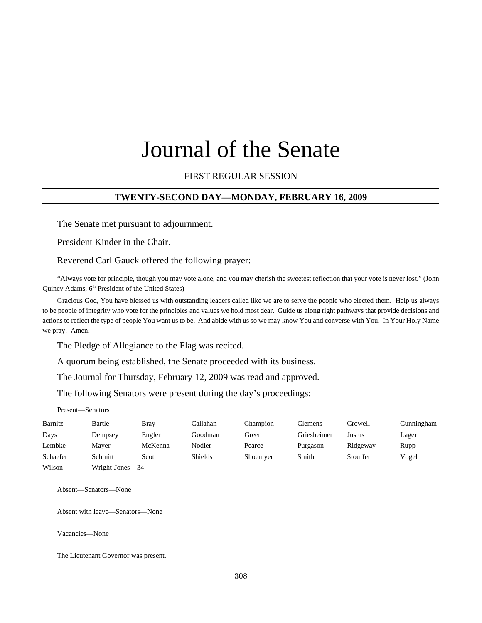# Journal of the Senate

# FIRST REGULAR SESSION

#### **TWENTY-SECOND DAY—MONDAY, FEBRUARY 16, 2009**

The Senate met pursuant to adjournment.

President Kinder in the Chair.

Reverend Carl Gauck offered the following prayer:

"Always vote for principle, though you may vote alone, and you may cherish the sweetest reflection that your vote is never lost." (John Quincy Adams, 6<sup>th</sup> President of the United States)

Gracious God, You have blessed us with outstanding leaders called like we are to serve the people who elected them. Help us always to be people of integrity who vote for the principles and values we hold most dear. Guide us along right pathways that provide decisions and actions to reflect the type of people You want us to be. And abide with us so we may know You and converse with You. In Your Holy Name we pray. Amen.

The Pledge of Allegiance to the Flag was recited.

A quorum being established, the Senate proceeded with its business.

The Journal for Thursday, February 12, 2009 was read and approved.

The following Senators were present during the day's proceedings:

Present—Senators

| Barnitz  | Bartle          | Brav    | Callahan       | Champion | Clemens     | Crowell  | Cunningham |
|----------|-----------------|---------|----------------|----------|-------------|----------|------------|
| Days     | Dempsey         | Engler  | Goodman        | Green    | Griesheimer | Justus   | Lager      |
| Lembke   | Maver           | McKenna | Nodler         | Pearce   | Purgason    | Ridgeway | Rupp       |
| Schaefer | Schmitt         | Scott   | <b>Shields</b> | Shoemyer | Smith       | Stouffer | Vogel      |
| Wilson   | Wright-Jones-34 |         |                |          |             |          |            |

Absent—Senators—None

Absent with leave—Senators—None

Vacancies—None

The Lieutenant Governor was present.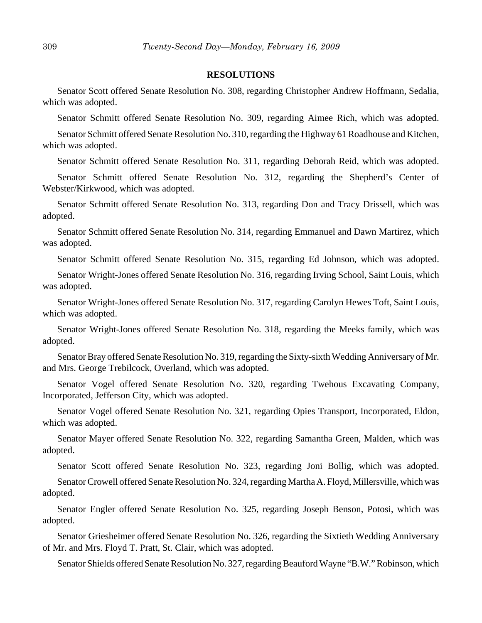#### **RESOLUTIONS**

Senator Scott offered Senate Resolution No. 308, regarding Christopher Andrew Hoffmann, Sedalia, which was adopted.

Senator Schmitt offered Senate Resolution No. 309, regarding Aimee Rich, which was adopted.

Senator Schmitt offered Senate Resolution No. 310, regarding the Highway 61 Roadhouse and Kitchen, which was adopted.

Senator Schmitt offered Senate Resolution No. 311, regarding Deborah Reid, which was adopted.

Senator Schmitt offered Senate Resolution No. 312, regarding the Shepherd's Center of Webster/Kirkwood, which was adopted.

Senator Schmitt offered Senate Resolution No. 313, regarding Don and Tracy Drissell, which was adopted.

Senator Schmitt offered Senate Resolution No. 314, regarding Emmanuel and Dawn Martirez, which was adopted.

Senator Schmitt offered Senate Resolution No. 315, regarding Ed Johnson, which was adopted.

Senator Wright-Jones offered Senate Resolution No. 316, regarding Irving School, Saint Louis, which was adopted.

Senator Wright-Jones offered Senate Resolution No. 317, regarding Carolyn Hewes Toft, Saint Louis, which was adopted.

Senator Wright-Jones offered Senate Resolution No. 318, regarding the Meeks family, which was adopted.

Senator Bray offered Senate Resolution No. 319, regarding the Sixty-sixth Wedding Anniversary of Mr. and Mrs. George Trebilcock, Overland, which was adopted.

Senator Vogel offered Senate Resolution No. 320, regarding Twehous Excavating Company, Incorporated, Jefferson City, which was adopted.

Senator Vogel offered Senate Resolution No. 321, regarding Opies Transport, Incorporated, Eldon, which was adopted.

Senator Mayer offered Senate Resolution No. 322, regarding Samantha Green, Malden, which was adopted.

Senator Scott offered Senate Resolution No. 323, regarding Joni Bollig, which was adopted.

Senator Crowell offered Senate Resolution No. 324, regarding Martha A. Floyd, Millersville, which was adopted.

Senator Engler offered Senate Resolution No. 325, regarding Joseph Benson, Potosi, which was adopted.

Senator Griesheimer offered Senate Resolution No. 326, regarding the Sixtieth Wedding Anniversary of Mr. and Mrs. Floyd T. Pratt, St. Clair, which was adopted.

Senator Shields offered Senate Resolution No. 327, regarding Beauford Wayne "B.W." Robinson, which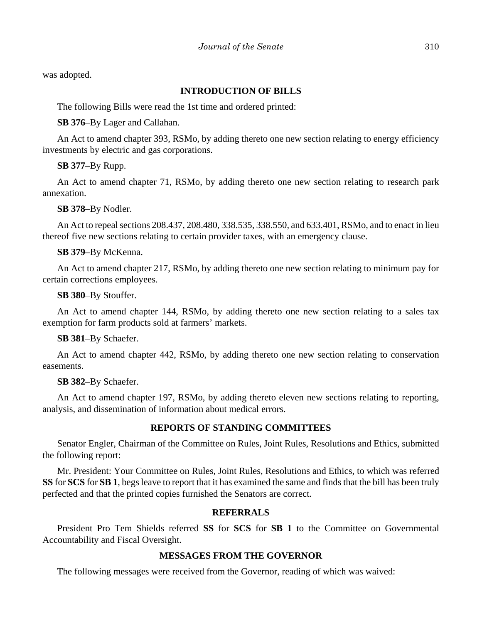was adopted.

# **INTRODUCTION OF BILLS**

The following Bills were read the 1st time and ordered printed:

# **SB 376**–By Lager and Callahan.

An Act to amend chapter 393, RSMo, by adding thereto one new section relating to energy efficiency investments by electric and gas corporations.

# **SB 377**–By Rupp.

An Act to amend chapter 71, RSMo, by adding thereto one new section relating to research park annexation.

**SB 378**–By Nodler.

An Act to repeal sections 208.437, 208.480, 338.535, 338.550, and 633.401, RSMo, and to enact in lieu thereof five new sections relating to certain provider taxes, with an emergency clause.

# **SB 379**–By McKenna.

An Act to amend chapter 217, RSMo, by adding thereto one new section relating to minimum pay for certain corrections employees.

## **SB 380**–By Stouffer.

An Act to amend chapter 144, RSMo, by adding thereto one new section relating to a sales tax exemption for farm products sold at farmers' markets.

## **SB 381**–By Schaefer.

An Act to amend chapter 442, RSMo, by adding thereto one new section relating to conservation easements.

# **SB 382**–By Schaefer.

An Act to amend chapter 197, RSMo, by adding thereto eleven new sections relating to reporting, analysis, and dissemination of information about medical errors.

# **REPORTS OF STANDING COMMITTEES**

Senator Engler, Chairman of the Committee on Rules, Joint Rules, Resolutions and Ethics, submitted the following report:

Mr. President: Your Committee on Rules, Joint Rules, Resolutions and Ethics, to which was referred **SS** for **SCS** for **SB 1**, begs leave to report that it has examined the same and finds that the bill has been truly perfected and that the printed copies furnished the Senators are correct.

# **REFERRALS**

President Pro Tem Shields referred **SS** for **SCS** for **SB 1** to the Committee on Governmental Accountability and Fiscal Oversight.

# **MESSAGES FROM THE GOVERNOR**

The following messages were received from the Governor, reading of which was waived: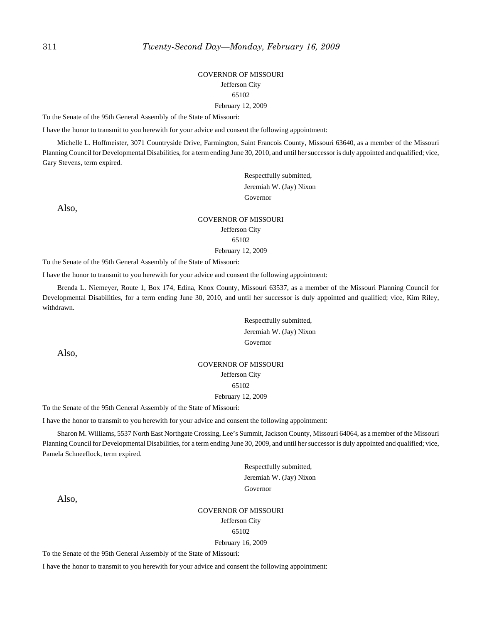#### GOVERNOR OF MISSOURI Jefferson City 65102 February 12, 2009

To the Senate of the 95th General Assembly of the State of Missouri:

I have the honor to transmit to you herewith for your advice and consent the following appointment:

Michelle L. Hoffmeister, 3071 Countryside Drive, Farmington, Saint Francois County, Missouri 63640, as a member of the Missouri Planning Council for Developmental Disabilities, for a term ending June 30, 2010, and until her successor is duly appointed and qualified; vice, Gary Stevens, term expired.

> Respectfully submitted, Jeremiah W. (Jay) Nixon Governor

Also,

## GOVERNOR OF MISSOURI Jefferson City 65102 February 12, 2009

To the Senate of the 95th General Assembly of the State of Missouri:

I have the honor to transmit to you herewith for your advice and consent the following appointment:

Brenda L. Niemeyer, Route 1, Box 174, Edina, Knox County, Missouri 63537, as a member of the Missouri Planning Council for Developmental Disabilities, for a term ending June 30, 2010, and until her successor is duly appointed and qualified; vice, Kim Riley, withdrawn.

> Respectfully submitted, Jeremiah W. (Jay) Nixon Governor

Also,

# GOVERNOR OF MISSOURI Jefferson City 65102 February 12, 2009

To the Senate of the 95th General Assembly of the State of Missouri:

I have the honor to transmit to you herewith for your advice and consent the following appointment:

Sharon M. Williams, 5537 North East Northgate Crossing, Lee's Summit, Jackson County, Missouri 64064, as a member of the Missouri Planning Council for Developmental Disabilities, for a term ending June 30, 2009, and until her successor is duly appointed and qualified; vice, Pamela Schneeflock, term expired.

> Respectfully submitted, Jeremiah W. (Jay) Nixon Governor

Also,

#### GOVERNOR OF MISSOURI Jefferson City 65102

#### February 16, 2009

To the Senate of the 95th General Assembly of the State of Missouri:

I have the honor to transmit to you herewith for your advice and consent the following appointment: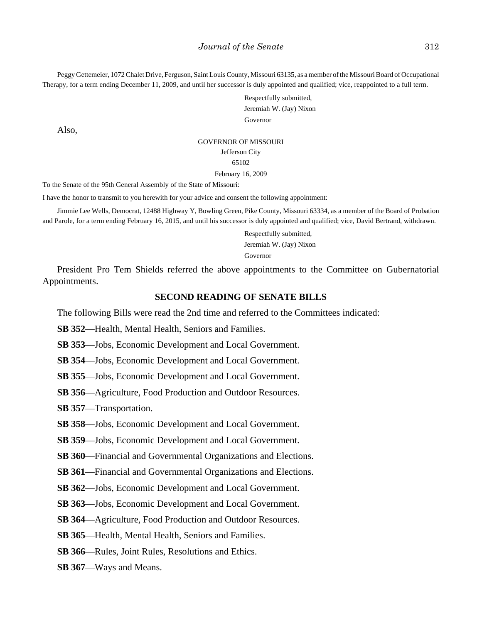Peggy Gettemeier, 1072 Chalet Drive, Ferguson, Saint Louis County, Missouri 63135, as a member of the Missouri Board of Occupational Therapy, for a term ending December 11, 2009, and until her successor is duly appointed and qualified; vice, reappointed to a full term.

> Respectfully submitted, Jeremiah W. (Jay) Nixon Governor

Also,

#### GOVERNOR OF MISSOURI

Jefferson City

65102

#### February 16, 2009

To the Senate of the 95th General Assembly of the State of Missouri:

I have the honor to transmit to you herewith for your advice and consent the following appointment:

Jimmie Lee Wells, Democrat, 12488 Highway Y, Bowling Green, Pike County, Missouri 63334, as a member of the Board of Probation and Parole, for a term ending February 16, 2015, and until his successor is duly appointed and qualified; vice, David Bertrand, withdrawn.

> Respectfully submitted, Jeremiah W. (Jay) Nixon Governor

President Pro Tem Shields referred the above appointments to the Committee on Gubernatorial Appointments.

#### **SECOND READING OF SENATE BILLS**

The following Bills were read the 2nd time and referred to the Committees indicated:

**SB 352**—Health, Mental Health, Seniors and Families.

**SB 353**—Jobs, Economic Development and Local Government.

**SB 354**—Jobs, Economic Development and Local Government.

**SB 355**—Jobs, Economic Development and Local Government.

**SB 356**—Agriculture, Food Production and Outdoor Resources.

**SB 357**—Transportation.

**SB 358**—Jobs, Economic Development and Local Government.

**SB 359**—Jobs, Economic Development and Local Government.

**SB 360**—Financial and Governmental Organizations and Elections.

**SB 361**—Financial and Governmental Organizations and Elections.

**SB 362**—Jobs, Economic Development and Local Government.

**SB 363**—Jobs, Economic Development and Local Government.

**SB 364**—Agriculture, Food Production and Outdoor Resources.

**SB 365**—Health, Mental Health, Seniors and Families.

**SB 366**—Rules, Joint Rules, Resolutions and Ethics.

**SB 367**—Ways and Means.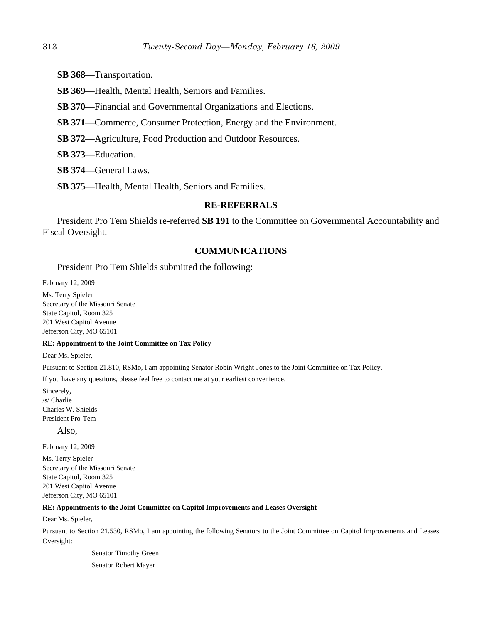- **SB 368**—Transportation.
- **SB 369**—Health, Mental Health, Seniors and Families.
- **SB 370**—Financial and Governmental Organizations and Elections.
- **SB 371**—Commerce, Consumer Protection, Energy and the Environment.
- **SB 372**—Agriculture, Food Production and Outdoor Resources.
- **SB 373**—Education.
- **SB 374**—General Laws.
- **SB 375**—Health, Mental Health, Seniors and Families.

# **RE-REFERRALS**

President Pro Tem Shields re-referred **SB 191** to the Committee on Governmental Accountability and Fiscal Oversight.

# **COMMUNICATIONS**

#### President Pro Tem Shields submitted the following:

February 12, 2009

Ms. Terry Spieler Secretary of the Missouri Senate State Capitol, Room 325 201 West Capitol Avenue Jefferson City, MO 65101

#### **RE: Appointment to the Joint Committee on Tax Policy**

Dear Ms. Spieler,

Pursuant to Section 21.810, RSMo, I am appointing Senator Robin Wright-Jones to the Joint Committee on Tax Policy.

If you have any questions, please feel free to contact me at your earliest convenience.

Sincerely, /s/ Charlie Charles W. Shields President Pro-Tem

Also,

February 12, 2009

Ms. Terry Spieler Secretary of the Missouri Senate State Capitol, Room 325 201 West Capitol Avenue Jefferson City, MO 65101

#### **RE: Appointments to the Joint Committee on Capitol Improvements and Leases Oversight**

Dear Ms. Spieler,

Pursuant to Section 21.530, RSMo, I am appointing the following Senators to the Joint Committee on Capitol Improvements and Leases Oversight:

> Senator Timothy Green Senator Robert Mayer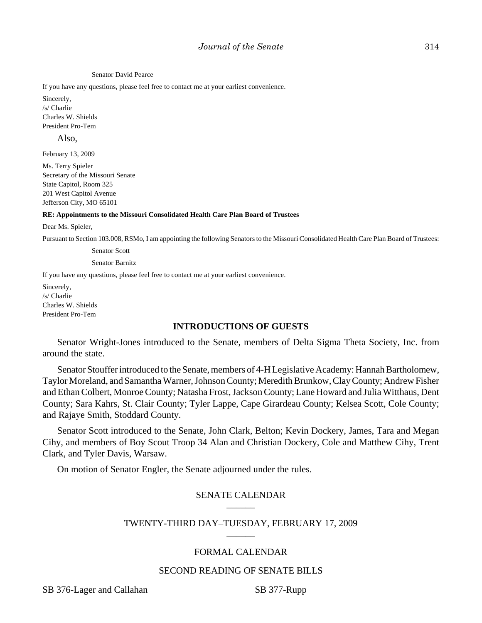#### Senator David Pearce

If you have any questions, please feel free to contact me at your earliest convenience.

Sincerely, /s/ Charlie Charles W. Shields President Pro-Tem

Also,

February 13, 2009

Ms. Terry Spieler Secretary of the Missouri Senate State Capitol, Room 325 201 West Capitol Avenue Jefferson City, MO 65101

#### **RE: Appointments to the Missouri Consolidated Health Care Plan Board of Trustees**

Dear Ms. Spieler,

Pursuant to Section 103.008, RSMo, I am appointing the following Senators to the Missouri Consolidated Health Care Plan Board of Trustees:

Senator Scott

Senator Barnitz

If you have any questions, please feel free to contact me at your earliest convenience.

Sincerely, /s/ Charlie Charles W. Shields President Pro-Tem

#### **INTRODUCTIONS OF GUESTS**

Senator Wright-Jones introduced to the Senate, members of Delta Sigma Theta Society, Inc. from around the state.

Senator Stouffer introduced to the Senate, members of 4-H Legislative Academy: Hannah Bartholomew, Taylor Moreland, and Samantha Warner, Johnson County; Meredith Brunkow, Clay County; Andrew Fisher and Ethan Colbert, Monroe County; Natasha Frost, Jackson County; Lane Howard and Julia Witthaus, Dent County; Sara Kahrs, St. Clair County; Tyler Lappe, Cape Girardeau County; Kelsea Scott, Cole County; and Rajaye Smith, Stoddard County.

Senator Scott introduced to the Senate, John Clark, Belton; Kevin Dockery, James, Tara and Megan Cihy, and members of Boy Scout Troop 34 Alan and Christian Dockery, Cole and Matthew Cihy, Trent Clark, and Tyler Davis, Warsaw.

On motion of Senator Engler, the Senate adjourned under the rules.

## SENATE CALENDAR \_\_\_\_\_\_

## TWENTY-THIRD DAY–TUESDAY, FEBRUARY 17, 2009 \_\_\_\_\_\_

## FORMAL CALENDAR

### SECOND READING OF SENATE BILLS

SB 376-Lager and Callahan SB 377-Rupp